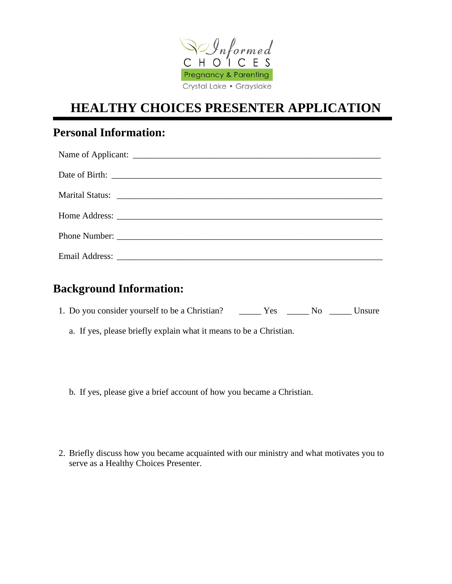

# **HEALTHY CHOICES PRESENTER APPLICATION**

# **Personal Information:**

| Marital Status: National Status: National Accounts of the Status Contract of the Status Contract of the Status |
|----------------------------------------------------------------------------------------------------------------|
|                                                                                                                |
|                                                                                                                |
|                                                                                                                |

#### **Background Information:**

| 1. Do you consider yourself to be a Christian? | Yes | Nο | Unsure |
|------------------------------------------------|-----|----|--------|
|------------------------------------------------|-----|----|--------|

- a. If yes, please briefly explain what it means to be a Christian.
- b. If yes, please give a brief account of how you became a Christian.
- 2. Briefly discuss how you became acquainted with our ministry and what motivates you to serve as a Healthy Choices Presenter.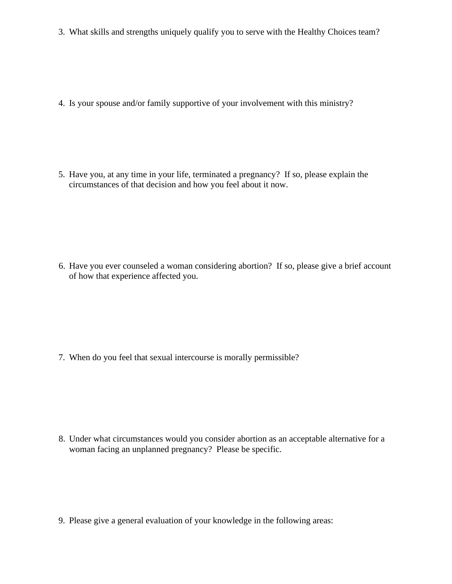3. What skills and strengths uniquely qualify you to serve with the Healthy Choices team?

4. Is your spouse and/or family supportive of your involvement with this ministry?

5. Have you, at any time in your life, terminated a pregnancy? If so, please explain the circumstances of that decision and how you feel about it now.

6. Have you ever counseled a woman considering abortion? If so, please give a brief account of how that experience affected you.

7. When do you feel that sexual intercourse is morally permissible?

8. Under what circumstances would you consider abortion as an acceptable alternative for a woman facing an unplanned pregnancy? Please be specific.

9. Please give a general evaluation of your knowledge in the following areas: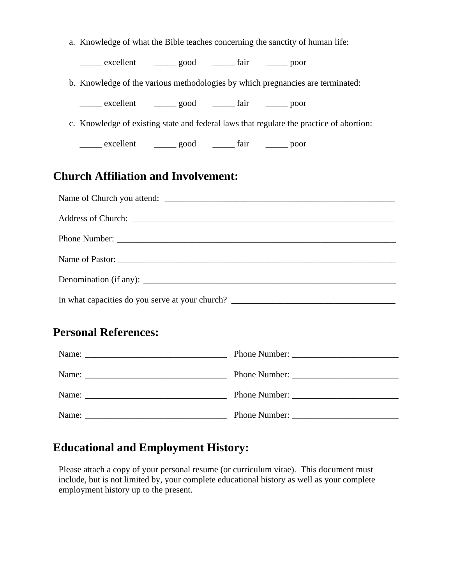| a. Knowledge of what the Bible teaches concerning the sanctity of human life:     |                                                                                         |  |  |  |  |
|-----------------------------------------------------------------------------------|-----------------------------------------------------------------------------------------|--|--|--|--|
|                                                                                   | excellent _______ good ________ fair _______ poor                                       |  |  |  |  |
|                                                                                   | b. Knowledge of the various methodologies by which pregnancies are terminated:          |  |  |  |  |
|                                                                                   | excellent ________ good __________ fair ________ poor                                   |  |  |  |  |
|                                                                                   | c. Knowledge of existing state and federal laws that regulate the practice of abortion: |  |  |  |  |
|                                                                                   | excellent ________ good __________ fair ________ poor                                   |  |  |  |  |
| <b>Church Affiliation and Involvement:</b>                                        |                                                                                         |  |  |  |  |
|                                                                                   |                                                                                         |  |  |  |  |
|                                                                                   |                                                                                         |  |  |  |  |
|                                                                                   |                                                                                         |  |  |  |  |
| Name of Pastor:                                                                   |                                                                                         |  |  |  |  |
|                                                                                   |                                                                                         |  |  |  |  |
| In what capacities do you serve at your church? _________________________________ |                                                                                         |  |  |  |  |
| <b>Personal References:</b>                                                       |                                                                                         |  |  |  |  |
|                                                                                   |                                                                                         |  |  |  |  |
|                                                                                   |                                                                                         |  |  |  |  |
|                                                                                   |                                                                                         |  |  |  |  |
|                                                                                   |                                                                                         |  |  |  |  |

### **Educational and Employment History:**

Please attach a copy of your personal resume (or curriculum vitae). This document must include, but is not limited by, your complete educational history as well as your complete employment history up to the present.